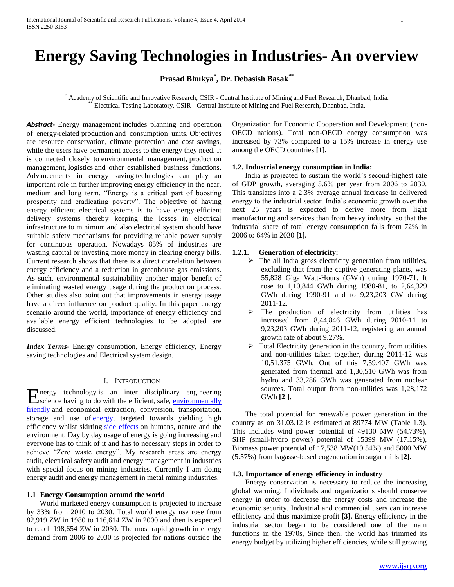# **Energy Saving Technologies in Industries- An overview**

**Prasad Bhukya\* , Dr. Debasish Basak\*\***

\* Academy of Scientific and Innovative Research, CSIR - Central Institute of Mining and Fuel Research, Dhanbad, India. Electrical Testing Laboratory, CSIR - Central Institute of Mining and Fuel Research, Dhanbad, India.

*Abstract***-** Energy management includes planning and operation of energy-related [production](http://en.wikipedia.org/wiki/Production_(economics)) and consumption units. Objectives are resource conservation, climate protection and cost savings, while the users have permanent access to the energy they need. It is connected closely to [environmental management,](http://en.wikipedia.org/wiki/Environmental_management) [production](http://en.wikipedia.org/wiki/Production_management)  [management,](http://en.wikipedia.org/wiki/Production_management) [logistics](http://en.wikipedia.org/wiki/Logistics) and other established business functions. Advancements in energy saving technologies can play an important role in further improving energy efficiency in the near, medium and long term. "Energy is a critical part of boosting prosperity and eradicating poverty". The objective of having energy efficient electrical systems is to have energy-efficient delivery systems thereby keeping the losses in electrical infrastructure to minimum and also electrical system should have suitable safety mechanisms for providing reliable power supply for continuous operation. Nowadays 85% of industries are wasting capital or investing more money in clearing energy bills. Current research shows that there is a direct correlation between energy efficiency and a reduction in greenhouse gas emissions. As such, environmental sustainability another major benefit of eliminating wasted energy usage during the production process. Other studies also point out that improvements in energy usage have a direct influence on product quality. In this paper energy scenario around the world, importance of energy efficiency and available energy efficient technologies to be adopted are discussed.

*Index Terms*- Energy consumption, Energy efficiency, Energy saving technologies and Electrical system design.

# I. INTRODUCTION

nergy technology is an inter disciplinary engineering Energy technology is an inter disciplinary engineering<br>
science having to do with the efficient, safe, environmentally [friendly](http://en.wikipedia.org/wiki/Environmentally_friendly) and economical extraction, conversion, transportation, storage and use of **energy**, targeted towards yielding high efficiency whilst skirting [side effects](http://en.wikipedia.org/wiki/Adverse_effect) on humans, nature and the environment. Day by day usage of energy is going increasing and everyone has to think of it and has to necessary steps in order to achieve "Zero waste energy". My research areas are energy audit, electrical safety audit and energy management in industries with special focus on mining industries. Currently I am doing energy audit and energy management in metal mining industries.

#### **1.1 Energy Consumption around the world**

 World marketed energy consumption is projected to increase by 33% from 2010 to 2030. Total world energy use rose from 82,919 ZW in 1980 to 116,614 ZW in 2000 and then is expected to reach 198,654 ZW in 2030. The most rapid growth in energy demand from 2006 to 2030 is projected for nations outside the Organization for Economic Cooperation and Development (non-OECD nations). Total non-OECD energy consumption was increased by 73% compared to a 15% increase in energy use among the OECD countries **[1].**

#### **1.2. Industrial energy consumption in India:**

 India is projected to sustain the world's second-highest rate of GDP growth, averaging 5.6% per year from 2006 to 2030. This translates into a 2.3% average annual increase in delivered energy to the industrial sector. India's economic growth over the next 25 years is expected to derive more from light manufacturing and services than from heavy industry, so that the industrial share of total energy consumption falls from 72% in 2006 to 64% in 2030 **[1].**

# **1.2.1. Generation of electricity:**

- $\triangleright$  The all India gross electricity generation from utilities, excluding that from the captive generating plants, was 55,828 Giga Watt-Hours (GWh) during 1970-71. It rose to 1,10,844 GWh during 1980-81, to 2,64,329 GWh during 1990-91 and to 9,23,203 GW during 2011-12.
- $\triangleright$  The production of electricity from utilities has increased from 8,44,846 GWh during 2010-11 to 9,23,203 GWh during 2011-12, registering an annual growth rate of about 9.27%.
- $\triangleright$  Total Electricity generation in the country, from utilities and non-utilities taken together, during 2011-12 was 10,51,375 GWh. Out of this 7,59,407 GWh was generated from thermal and 1,30,510 GWh was from hydro and 33,286 GWh was generated from nuclear sources. Total output from non-utilities was  $1,28,172$ GWh **[2 ].**

 The total potential for renewable power generation in the country as on 31.03.12 is estimated at 89774 MW (Table 1.3). This includes wind power potential of 49130 MW (54.73%), SHP (small-hydro power) potential of 15399 MW (17.15%), Biomass power potential of 17,538 MW(19.54%) and 5000 MW (5.57%) from bagasse-based cogeneration in sugar mills **[2].**

#### **1.3. Importance of energy efficiency in industry**

 Energy conservation is necessary to reduce the increasing global warming. Individuals and organizations should conserve energy in order to decrease the energy costs and increase the economic security. Industrial and commercial users can increase efficiency and thus maximize profit **[3].** Energy efficiency in the industrial sector began to be considered one of the main functions in the 1970s, Since then, the world has trimmed its energy budget by utilizing higher efficiencies, while still growing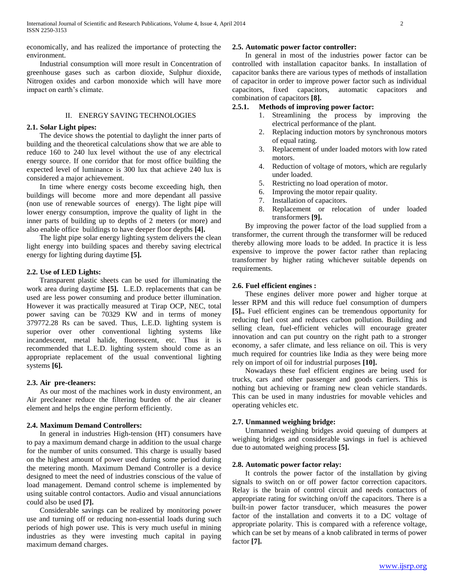economically, and has realized the importance of protecting the environment.

 Industrial consumption will more result in Concentration of greenhouse gases such as carbon dioxide, Sulphur dioxide, Nitrogen oxides and carbon monoxide which will have more impact on earth's climate.

#### II. ENERGY SAVING TECHNOLOGIES

## **2.1. Solar Light pipes:**

 The device shows the potential to daylight the inner parts of building and the theoretical calculations show that we are able to reduce 160 to 240 lux level without the use of any electrical energy source. If one corridor that for most office building the expected level of luminance is 300 lux that achieve 240 lux is considered a major achievement.

 In time where energy costs become exceeding high, then buildings will become more and more dependant all passive (non use of renewable sources of energy). The light pipe will lower energy consumption, improve the quality of light in the inner parts of building up to depths of 2 meters (or more) and also enable office buildings to have deeper floor depths **[4].**

 The light pipe solar energy lighting system delivers the clean light energy into building spaces and thereby saving electrical energy for lighting during daytime **[5].**

#### **2.2. Use of LED Lights:**

 Transparent plastic sheets can be used for illuminating the work area during daytime **[5].** L.E.D. replacements that can be used are less power consuming and produce better illumination. However it was practically measured at Tirap OCP, NEC, total power saving can be 70329 KW and in terms of money 379772.28 Rs can be saved. Thus, L.E.D. lighting system is superior over other conventional lighting systems like incandescent, metal halide, fluorescent, etc. Thus it is recommended that L.E.D. lighting system should come as an appropriate replacement of the usual conventional lighting systems **[6].**

#### **2.3. Air pre-cleaners:**

 As our most of the machines work in dusty environment, an Air precleaner reduce the filtering burden of the air cleaner element and helps the engine perform efficiently.

# **2.4. Maximum Demand Controllers:**

 In general in industries High-tension (HT) consumers have to pay a maximum demand charge in addition to the usual charge for the number of units consumed. This charge is usually based on the highest amount of power used during some period during the metering month. Maximum Demand Controller is a device designed to meet the need of industries conscious of the value of load management. Demand control scheme is implemented by using suitable control contactors. Audio and visual annunciations could also be used **[7].**

 Considerable savings can be realized by monitoring power use and turning off or reducing non-essential loads during such periods of high power use. This is very much useful in mining industries as they were investing much capital in paying maximum demand charges.

# **2.5. Automatic power factor controller:**

 In general in most of the industries power factor can be controlled with installation capacitor banks. In installation of capacitor banks there are various types of methods of installation of capacitor in order to improve power factor such as individual capacitors, fixed capacitors, automatic capacitors and combination of capacitors **[8].**

# **2.5.1. Methods of improving power factor:**

- 1. Streamlining the process by improving the electrical performance of the plant.
- 2. Replacing induction motors by synchronous motors of equal rating.
- 3. Replacement of under loaded motors with low rated motors.
- 4. Reduction of voltage of motors, which are regularly under loaded.
- 5. Restricting no load operation of motor.
- 6. Improving the motor repair quality.
- 7. Installation of capacitors.
- 8. Replacement or relocation of under loaded transformers **[9].**

 By improving the power factor of the load supplied from a transformer, the current through the transformer will be reduced thereby allowing more loads to be added. In practice it is less expensive to improve the power factor rather than replacing transformer by higher rating whichever suitable depends on requirements.

# **2.6. Fuel efficient engines :**

 These engines deliver more power and higher torque at lesser RPM and this will reduce fuel consumption of dumpers **[5]..** Fuel efficient engines can be tremendous opportunity for reducing fuel cost and reduces carbon pollution. Building and selling clean, fuel-efficient vehicles will encourage greater innovation and can put country on the right path to a stronger economy, a safer climate, and less reliance on oil. This is very much required for countries like India as they were being more rely on import of oil for industrial purposes **[10].**

 Nowadays these fuel efficient engines are being used for trucks, cars and other passenger and goods carriers. This is nothing but achieving or framing new clean vehicle standards. This can be used in many industries for movable vehicles and operating vehicles etc.

#### **2.7. Unmanned weighing bridge:**

 Unmanned weighing bridges avoid queuing of dumpers at weighing bridges and considerable savings in fuel is achieved due to automated weighing process **[5].**

# **2.8. Automatic power factor relay:**

 It controls the power factor of the installation by giving signals to switch on or off power factor correction capacitors. Relay is the brain of control circuit and needs contactors of appropriate rating for switching on/off the capacitors. There is a built-in power factor transducer, which measures the power factor of the installation and converts it to a DC voltage of appropriate polarity. This is compared with a reference voltage, which can be set by means of a knob calibrated in terms of power factor **[7].**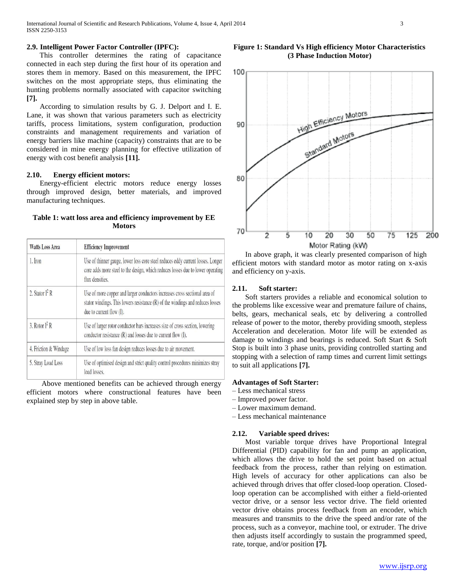# **2.9. Intelligent Power Factor Controller (IPFC):**

 This controller determines the rating of capacitance connected in each step during the first hour of its operation and stores them in memory. Based on this measurement, the IPFC switches on the most appropriate steps, thus eliminating the hunting problems normally associated with capacitor switching **[7].**

 According to simulation results by G. J. Delport and I. E. Lane, it was shown that various parameters such as electricity tariffs, process limitations, system configuration, production constraints and management requirements and variation of energy barriers like machine (capacity) constraints that are to be considered in mine energy planning for effective utilization of energy with cost benefit analysis **[11].**

# **2.10. Energy efficient motors:**

 Energy-efficient electric motors reduce energy losses through improved design, better materials, and improved manufacturing techniques.

# **Table 1: watt loss area and efficiency improvement by EE Motors**

| <b>Watts Loss Area</b> | <b>Efficiency Improvement</b>                                                                                                                                                               |
|------------------------|---------------------------------------------------------------------------------------------------------------------------------------------------------------------------------------------|
| 1. Iron                | Use of thinner gauge, lower loss core steel reduces eddy current losses. Longer<br>core adds more steel to the design, which reduces losses due to lower operating<br>flux densities.       |
| 2. Stator $I^2 R$      | Use of more copper and larger conductors increases cross sectional area of<br>stator windings. This lowers resistance (R) of the windings and reduces losses<br>due to current flow $(I)$ . |
| 3. Rotor $I^2 R$       | Use of larger rotor conductor bars increases size of cross section, lowering<br>conductor resistance $(R)$ and losses due to current flow $(I)$ .                                           |
| 4. Friction & Windage  | Use of low loss fan design reduces losses due to air movement.                                                                                                                              |
| 5. Stray Load Loss     | Use of optimised design and strict quality control procedures minimizes stray<br>load losses.                                                                                               |

 Above mentioned benefits can be achieved through energy efficient motors where constructional features have been explained step by step in above table.

#### **Figure 1: Standard Vs High efficiency Motor Characteristics (3 Phase Induction Motor)**



 In above graph, it was clearly presented comparison of high efficient motors with standard motor as motor rating on x-axis and efficiency on y-axis.

# **2.11. Soft starter:**

 Soft starters provides a reliable and economical solution to the problems like excessive wear and premature failure of chains, belts, gears, mechanical seals, etc by delivering a controlled release of power to the motor, thereby providing smooth, stepless Acceleration and deceleration. Motor life will be extended as damage to windings and bearings is reduced. Soft Start & Soft Stop is built into 3 phase units, providing controlled starting and stopping with a selection of ramp times and current limit settings to suit all applications **[7].**

# **Advantages of Soft Starter:**

- Less mechanical stress
- Improved power factor.
- Lower maximum demand.
- Less mechanical maintenance

## **2.12. Variable speed drives:**

 Most variable torque drives have Proportional Integral Differential (PID) capability for fan and pump an application, which allows the drive to hold the set point based on actual feedback from the process, rather than relying on estimation. High levels of accuracy for other applications can also be achieved through drives that offer closed-loop operation. Closedloop operation can be accomplished with either a field-oriented vector drive, or a sensor less vector drive. The field oriented vector drive obtains process feedback from an encoder, which measures and transmits to the drive the speed and/or rate of the process, such as a conveyor, machine tool, or extruder. The drive then adjusts itself accordingly to sustain the programmed speed, rate, torque, and/or position **[7].**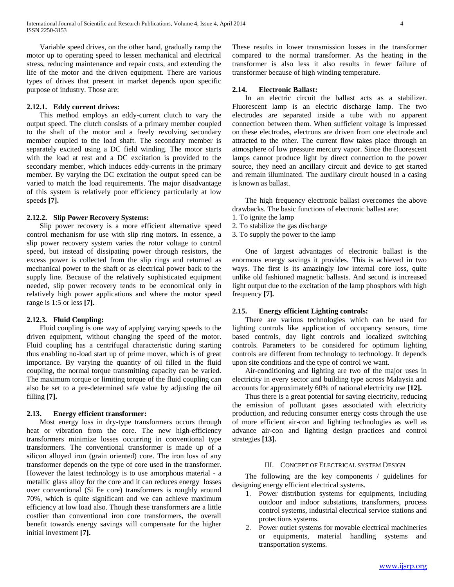Variable speed drives, on the other hand, gradually ramp the motor up to operating speed to lessen mechanical and electrical stress, reducing maintenance and repair costs, and extending the life of the motor and the driven equipment. There are various types of drives that present in market depends upon specific purpose of industry. Those are:

#### **2.12.1. Eddy current drives:**

 This method employs an eddy-current clutch to vary the output speed. The clutch consists of a primary member coupled to the shaft of the motor and a freely revolving secondary member coupled to the load shaft. The secondary member is separately excited using a DC field winding. The motor starts with the load at rest and a DC excitation is provided to the secondary member, which induces eddy-currents in the primary member. By varying the DC excitation the output speed can be varied to match the load requirements. The major disadvantage of this system is relatively poor efficiency particularly at low speeds **[7].**

# **2.12.2. Slip Power Recovery Systems:**

 Slip power recovery is a more efficient alternative speed control mechanism for use with slip ring motors. In essence, a slip power recovery system varies the rotor voltage to control speed, but instead of dissipating power through resistors, the excess power is collected from the slip rings and returned as mechanical power to the shaft or as electrical power back to the supply line. Because of the relatively sophisticated equipment needed, slip power recovery tends to be economical only in relatively high power applications and where the motor speed range is 1:5 or less **[7].**

#### **2.12.3. Fluid Coupling:**

 Fluid coupling is one way of applying varying speeds to the driven equipment, without changing the speed of the motor. Fluid coupling has a centrifugal characteristic during starting thus enabling no-load start up of prime mover, which is of great importance. By varying the quantity of oil filled in the fluid coupling, the normal torque transmitting capacity can be varied. The maximum torque or limiting torque of the fluid coupling can also be set to a pre-determined safe value by adjusting the oil filling **[7].**

# **2.13. Energy efficient transformer:**

 Most energy loss in dry-type transformers occurs through heat or vibration from the core. The new high-efficiency transformers minimize losses occurring in conventional type transformers. The conventional transformer is made up of a silicon alloyed iron (grain oriented) core. The iron loss of any transformer depends on the type of core used in the transformer. However the latest technology is to use amorphous material - a metallic glass alloy for the core and it can reduces energy losses over conventional (Si Fe core) transformers is roughly around 70%, which is quite significant and we can achieve maximum efficiency at low load also. Though these transformers are a little costlier than conventional iron core transformers, the overall benefit towards energy savings will compensate for the higher initial investment **[7].**

These results in lower transmission losses in the transformer compared to the normal transformer. As the heating in the transformer is also less it also results in fewer failure of transformer because of high winding temperature.

# **2.14. Electronic Ballast:**

 In an electric circuit the ballast acts as a stabilizer. Fluorescent lamp is an electric discharge lamp. The two electrodes are separated inside a tube with no apparent connection between them. When sufficient voltage is impressed on these electrodes, electrons are driven from one electrode and attracted to the other. The current flow takes place through an atmosphere of low pressure mercury vapor. Since the fluorescent lamps cannot produce light by direct connection to the power source, they need an ancillary circuit and device to get started and remain illuminated. The auxiliary circuit housed in a casing is known as ballast.

 The high frequency electronic ballast overcomes the above drawbacks. The basic functions of electronic ballast are:

- 1. To ignite the lamp
- 2. To stabilize the gas discharge

3. To supply the power to the lamp

 One of largest advantages of electronic ballast is the enormous energy savings it provides. This is achieved in two ways. The first is its amazingly low internal core loss, quite unlike old fashioned magnetic ballasts. And second is increased light output due to the excitation of the lamp phosphors with high frequency **[7].**

#### **2.15. Energy efficient Lighting controls:**

 There are various technologies which can be used for lighting controls like application of occupancy sensors, time based controls, day light controls and localized switching controls. Parameters to be considered for optimum lighting controls are different from technology to technology. It depends upon site conditions and the type of control we want.

 Air-conditioning and lighting are two of the major uses in electricity in every sector and building type across Malaysia and accounts for approximately 60% of national electricity use **[12].**

 Thus there is a great potential for saving electricity, reducing the emission of pollutant gases associated with electricity production, and reducing consumer energy costs through the use of more efficient air-con and lighting technologies as well as advance air-con and lighting design practices and control strategies **[13].**

#### III. CONCEPT OF ELECTRICAL SYSTEM DESIGN

 The following are the key components / guidelines for designing energy efficient electrical systems.

- 1. Power distribution systems for equipments, including outdoor and indoor substations, transformers, process control systems, industrial electrical service stations and protections systems.
- 2. Power outlet systems for movable electrical machineries or equipments, material handling systems and transportation systems.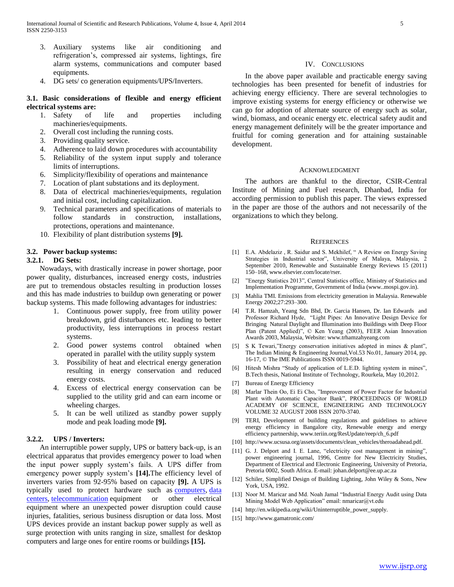- 3. Auxiliary systems like air conditioning and refrigeration's, compressed air systems, lightings, fire alarm systems, communications and computer based equipments.
- 4. DG sets/ co generation equipments/UPS/Inverters.

# **3.1. Basic considerations of flexible and energy efficient electrical systems are:**

- 1. Safety of life and properties including machineries/equipments.
- 2. Overall cost including the running costs.
- 3. Providing quality service.
- 4. Adherence to laid down procedures with accountability
- 5. Reliability of the system input supply and tolerance limits of interruptions.
- 6. Simplicity/flexibility of operations and maintenance
- 7. Location of plant substations and its deployment.
- 8. Data of electrical machineries/equipments, regulation and initial cost, including capitalization.
- 9. Technical parameters and specifications of materials to follow standards in construction, installations, protections, operations and maintenance.
- 10. Flexibility of plant distribution systems **[9].**

# **3.2. Power backup systems:**

# **3.2.1. DG Sets:**

 Nowadays, with drastically increase in power shortage, poor power quality, disturbances, increased energy costs, industries are put to tremendous obstacles resulting in production losses and this has made industries to buildup own generating or power backup systems. This made following advantages for industries:

- 1. Continuous power supply, free from utility power breakdown, grid disturbances etc. leading to better productivity, less interruptions in process restart systems.
- 2. Good power systems control obtained when operated in parallel with the utility supply system
- 3. Possibility of heat and electrical energy generation resulting in energy conservation and reduced energy costs.
- 4. Excess of electrical energy conservation can be supplied to the utility grid and can earn income or wheeling charges.
- 5. It can be well utilized as standby power supply mode and peak loading mode **[9].**

# **3.2.2. UPS / Inverters:**

 An interruptible power supply, UPS or battery back-up, is an electrical apparatus that provides emergency power to load when the input power supply system's fails. A UPS differ from emergency power supply system's **[14].**The efficiency level of inverters varies from 92-95% based on capacity **[9].** A UPS is typically used to protect hardware such as [computers,](http://en.wikipedia.org/wiki/Computer) [data](http://en.wikipedia.org/wiki/Data_center)  [centers,](http://en.wikipedia.org/wiki/Data_center) [telecommunication](http://en.wikipedia.org/wiki/Telecommunication) equipment or other electrical equipment where an unexpected power disruption could cause injuries, fatalities, serious business disruption or data loss. Most UPS devices provide an instant backup power supply as well as surge protection with units ranging in size, smallest for desktop computers and large ones for entire rooms or buildings **[15].**

#### IV. CONCLUSIONS

 In the above paper available and practicable energy saving technologies has been presented for benefit of industries for achieving energy efficiency. There are several technologies to improve existing systems for energy efficiency or otherwise we can go for adoption of alternate source of energy such as solar, wind, biomass, and oceanic energy etc. electrical safety audit and energy management definitely will be the greater importance and fruitful for coming generation and for attaining sustainable development.

# ACKNOWLEDGMENT

 The authors are thankful to the director, CSIR-Central Institute of Mining and Fuel research, Dhanbad, India for according permission to publish this paper. The views expressed in the paper are those of the authors and not necessarily of the organizations to which they belong.

#### **REFERENCES**

- [1] E.A. Abdelaziz , R. Saidur and S. Mekhilef, " A Review on Energy Saving Strategies in Industrial sector", University of Malaya, Malaysia, 2 September 2010, Renewable and Sustainable Energy Reviews 15 (2011) 150–168, www.elsevier.com/locate/rser.
- [2] "Energy Statistics 2013", Central Statistics office, Ministry of Statistics and Implementation Programme, Government of India (www..mospi.gov.in).
- [3] Mahlia TMI. Emissions from electricity generation in Malaysia. Renewable Energy 2002;27:293–300.
- [4] T.R. Hamzah, Yeang Sdn Bhd, Dr. Garcia Hansen, Dr. Ian Edwards and Professor Richard Hyde, "Light Pipes: An Innovative Design Device for Bringing Natural Daylight and Illumination into Buildings with Deep Floor Plan (Patent Applied)", © Ken Yeang (2003), FEER Asian Innovation Awards 2003, Malaysia, Website: www.trhamzahyeang.com
- [5] S K Tewari,"Energy conservation initiatives adopted in mines & plant", The Indian Mining & Engineering Journal,Vol.53 No.01, January 2014, pp. 16-17, © The IME Publications ISSN 0019-5944.
- [6] Hitesh Mishra "Study of application of L.E.D. lighting system in mines", B.Tech thesis, National Institute of Technology, Rourkela, May 10,2012.
- [7] Bureau of Energy Efficiency
- [8] Marlar Thein Oo, Ei Ei Cho, "Improvement of Power Factor for Industrial Plant with Automatic Capacitor Bank", PROCEEDINGS OF WORLD ACADEMY OF SCIENCE, ENGINEERING AND TECHNOLOGY VOLUME 32 AUGUST 2008 ISSN 2070-3740.
- [9] TERI, Development of building regulations and guidelines to achieve energy efficiency in Bangalore city, Renewable energy and energy efficiency partnership, www.teriin.org/ResUpdate/reep/ch\_6.pdf
- [10] http://www.ucsusa.org/assets/documents/clean\_vehicles/theroadahead.pdf.
- [11] G. J. Delport and I. E. Lane, "electricity cost management in mining", power engineering journal, 1996, Centre for New Electricity Studies, Department of Electrical and Electronic Engineering, University of Pretoria, Pretoria 0002, South Africa. E-mail: johan.delport@ee.up.ac.za
- [12] Schiler, Simplified Design of Building Lighting, John Wiley & Sons, New York, USA, 1992.
- [13] Noor M. Maricar and Md. Noah Jamal "Industrial Energy Audit using Data Mining Model Web Application" email: nmaricar@vt.edu
- [14] http://en.wikipedia.org/wiki/Uninterruptible\_power\_supply.
- [15] http://www.gamatronic.com/